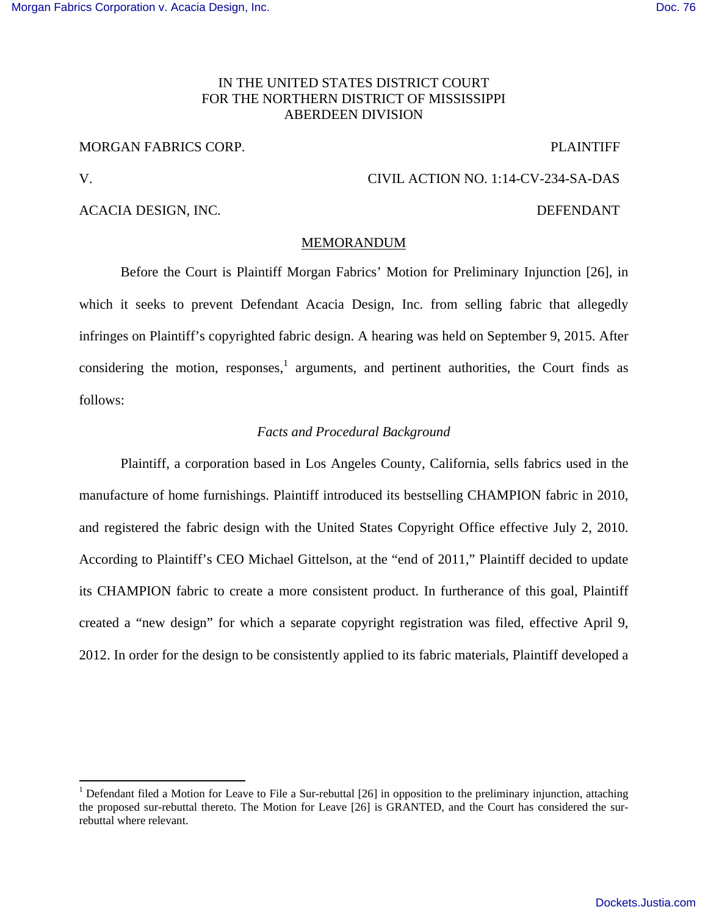## IN THE UNITED STATES DISTRICT COURT FOR THE NORTHERN DISTRICT OF MISSISSIPPI ABERDEEN DIVISION

#### MORGAN FABRICS CORP. The contract of the contract of the contract of the contract of the contract of the contract of the contract of the contract of the contract of the contract of the contract of the contract of the contr

## V. CIVIL ACTION NO. 1:14-CV-234-SA-DAS

### ACACIA DESIGN, INC. THE SECOND OF THE SECOND DEFENDANT

#### MEMORANDUM

 Before the Court is Plaintiff Morgan Fabrics' Motion for Preliminary Injunction [26], in which it seeks to prevent Defendant Acacia Design, Inc. from selling fabric that allegedly infringes on Plaintiff's copyrighted fabric design. A hearing was held on September 9, 2015. After considering the motion, responses,  $1$  arguments, and pertinent authorities, the Court finds as follows:

#### *Facts and Procedural Background*

Plaintiff, a corporation based in Los Angeles County, California, sells fabrics used in the manufacture of home furnishings. Plaintiff introduced its bestselling CHAMPION fabric in 2010, and registered the fabric design with the United States Copyright Office effective July 2, 2010. According to Plaintiff's CEO Michael Gittelson, at the "end of 2011," Plaintiff decided to update its CHAMPION fabric to create a more consistent product. In furtherance of this goal, Plaintiff created a "new design" for which a separate copyright registration was filed, effective April 9, 2012. In order for the design to be consistently applied to its fabric materials, Plaintiff developed a

<sup>&</sup>lt;sup>1</sup> Defendant filed a Motion for Leave to File a Sur-rebuttal [26] in opposition to the preliminary injunction, attaching the proposed sur-rebuttal thereto. The Motion for Leave [26] is GRANTED, and the Court has considered the surrebuttal where relevant.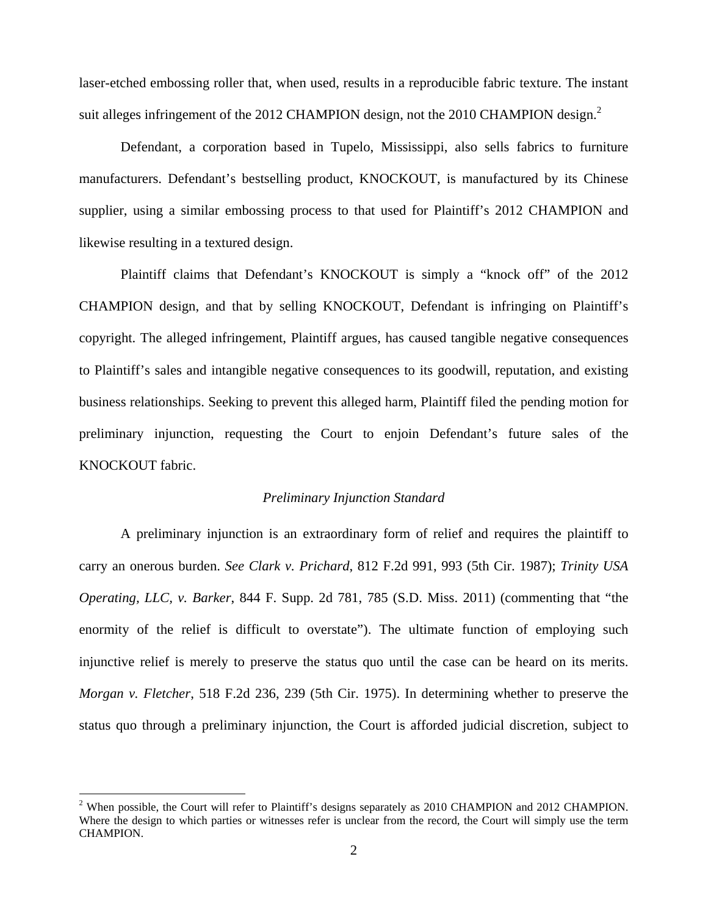laser-etched embossing roller that, when used, results in a reproducible fabric texture. The instant suit alleges infringement of the 2012 CHAMPION design, not the 2010 CHAMPION design. $^2$ 

Defendant, a corporation based in Tupelo, Mississippi, also sells fabrics to furniture manufacturers. Defendant's bestselling product, KNOCKOUT, is manufactured by its Chinese supplier, using a similar embossing process to that used for Plaintiff's 2012 CHAMPION and likewise resulting in a textured design.

Plaintiff claims that Defendant's KNOCKOUT is simply a "knock off" of the 2012 CHAMPION design, and that by selling KNOCKOUT, Defendant is infringing on Plaintiff's copyright. The alleged infringement, Plaintiff argues, has caused tangible negative consequences to Plaintiff's sales and intangible negative consequences to its goodwill, reputation, and existing business relationships. Seeking to prevent this alleged harm, Plaintiff filed the pending motion for preliminary injunction, requesting the Court to enjoin Defendant's future sales of the KNOCKOUT fabric.

### *Preliminary Injunction Standard*

 A preliminary injunction is an extraordinary form of relief and requires the plaintiff to carry an onerous burden. *See Clark v. Prichard*, 812 F.2d 991, 993 (5th Cir. 1987); *Trinity USA Operating, LLC, v. Barker*, 844 F. Supp. 2d 781, 785 (S.D. Miss. 2011) (commenting that "the enormity of the relief is difficult to overstate"). The ultimate function of employing such injunctive relief is merely to preserve the status quo until the case can be heard on its merits. *Morgan v. Fletcher*, 518 F.2d 236, 239 (5th Cir. 1975). In determining whether to preserve the status quo through a preliminary injunction, the Court is afforded judicial discretion, subject to

<sup>&</sup>lt;sup>2</sup> When possible, the Court will refer to Plaintiff's designs separately as 2010 CHAMPION and 2012 CHAMPION. Where the design to which parties or witnesses refer is unclear from the record, the Court will simply use the term CHAMPION.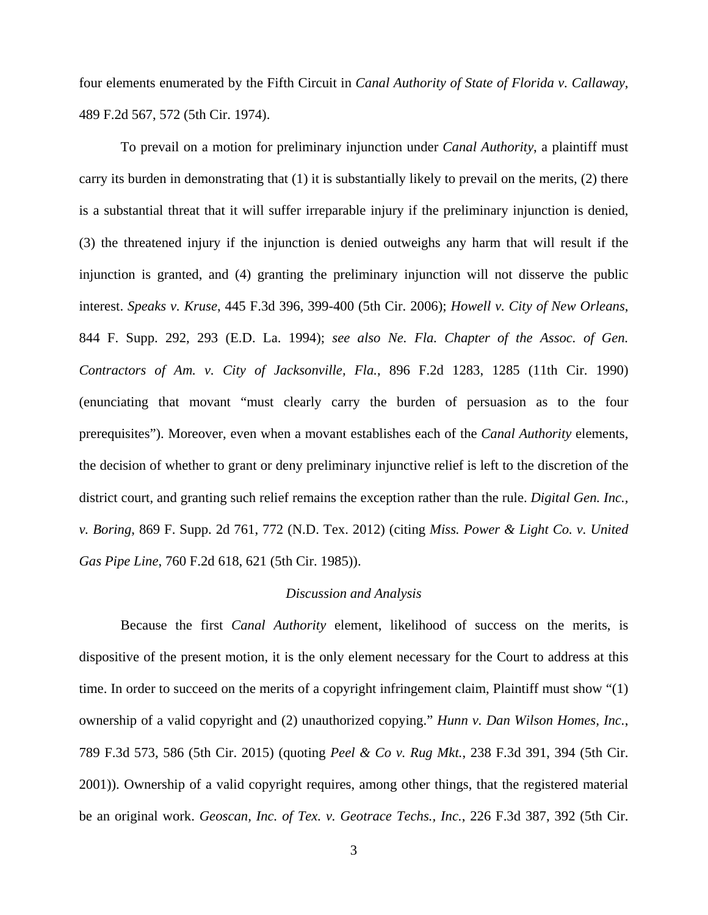four elements enumerated by the Fifth Circuit in *Canal Authority of State of Florida v. Callaway*, 489 F.2d 567, 572 (5th Cir. 1974).

To prevail on a motion for preliminary injunction under *Canal Authority*, a plaintiff must carry its burden in demonstrating that (1) it is substantially likely to prevail on the merits, (2) there is a substantial threat that it will suffer irreparable injury if the preliminary injunction is denied, (3) the threatened injury if the injunction is denied outweighs any harm that will result if the injunction is granted, and (4) granting the preliminary injunction will not disserve the public interest. *Speaks v. Kruse*, 445 F.3d 396, 399-400 (5th Cir. 2006); *Howell v. City of New Orleans*, 844 F. Supp. 292, 293 (E.D. La. 1994); *see also Ne. Fla. Chapter of the Assoc. of Gen. Contractors of Am. v. City of Jacksonville, Fla.*, 896 F.2d 1283, 1285 (11th Cir. 1990) (enunciating that movant "must clearly carry the burden of persuasion as to the four prerequisites"). Moreover, even when a movant establishes each of the *Canal Authority* elements, the decision of whether to grant or deny preliminary injunctive relief is left to the discretion of the district court, and granting such relief remains the exception rather than the rule. *Digital Gen. Inc., v. Boring*, 869 F. Supp. 2d 761, 772 (N.D. Tex. 2012) (citing *Miss. Power & Light Co. v. United Gas Pipe Line*, 760 F.2d 618, 621 (5th Cir. 1985)).

# *Discussion and Analysis*

Because the first *Canal Authority* element, likelihood of success on the merits, is dispositive of the present motion, it is the only element necessary for the Court to address at this time. In order to succeed on the merits of a copyright infringement claim, Plaintiff must show "(1) ownership of a valid copyright and (2) unauthorized copying." *Hunn v. Dan Wilson Homes, Inc.*, 789 F.3d 573, 586 (5th Cir. 2015) (quoting *Peel & Co v. Rug Mkt.*, 238 F.3d 391, 394 (5th Cir. 2001)). Ownership of a valid copyright requires, among other things, that the registered material be an original work. *Geoscan, Inc. of Tex. v. Geotrace Techs., Inc.*, 226 F.3d 387, 392 (5th Cir.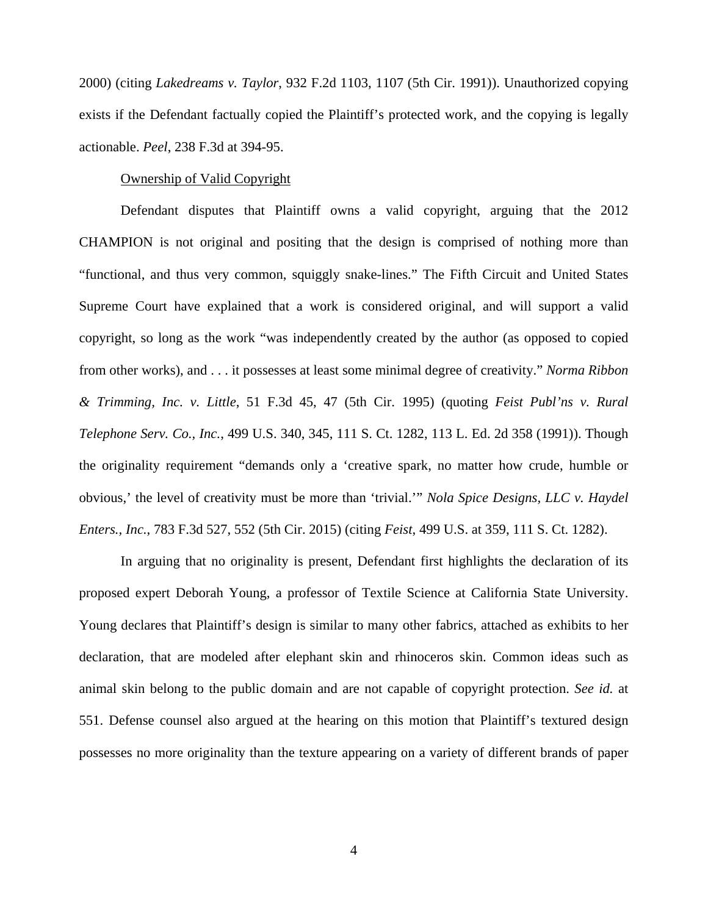2000) (citing *Lakedreams v. Taylor*, 932 F.2d 1103, 1107 (5th Cir. 1991)). Unauthorized copying exists if the Defendant factually copied the Plaintiff's protected work, and the copying is legally actionable. *Peel*, 238 F.3d at 394-95.

## Ownership of Valid Copyright

Defendant disputes that Plaintiff owns a valid copyright, arguing that the 2012 CHAMPION is not original and positing that the design is comprised of nothing more than "functional, and thus very common, squiggly snake-lines." The Fifth Circuit and United States Supreme Court have explained that a work is considered original, and will support a valid copyright, so long as the work "was independently created by the author (as opposed to copied from other works), and . . . it possesses at least some minimal degree of creativity." *Norma Ribbon & Trimming, Inc. v. Little*, 51 F.3d 45, 47 (5th Cir. 1995) (quoting *Feist Publ'ns v. Rural Telephone Serv. Co., Inc.*, 499 U.S. 340, 345, 111 S. Ct. 1282, 113 L. Ed. 2d 358 (1991)). Though the originality requirement "demands only a 'creative spark, no matter how crude, humble or obvious,' the level of creativity must be more than 'trivial.'" *Nola Spice Designs, LLC v. Haydel Enters., Inc.*, 783 F.3d 527, 552 (5th Cir. 2015) (citing *Feist*, 499 U.S. at 359, 111 S. Ct. 1282).

In arguing that no originality is present, Defendant first highlights the declaration of its proposed expert Deborah Young, a professor of Textile Science at California State University. Young declares that Plaintiff's design is similar to many other fabrics, attached as exhibits to her declaration, that are modeled after elephant skin and rhinoceros skin. Common ideas such as animal skin belong to the public domain and are not capable of copyright protection. *See id.* at 551. Defense counsel also argued at the hearing on this motion that Plaintiff's textured design possesses no more originality than the texture appearing on a variety of different brands of paper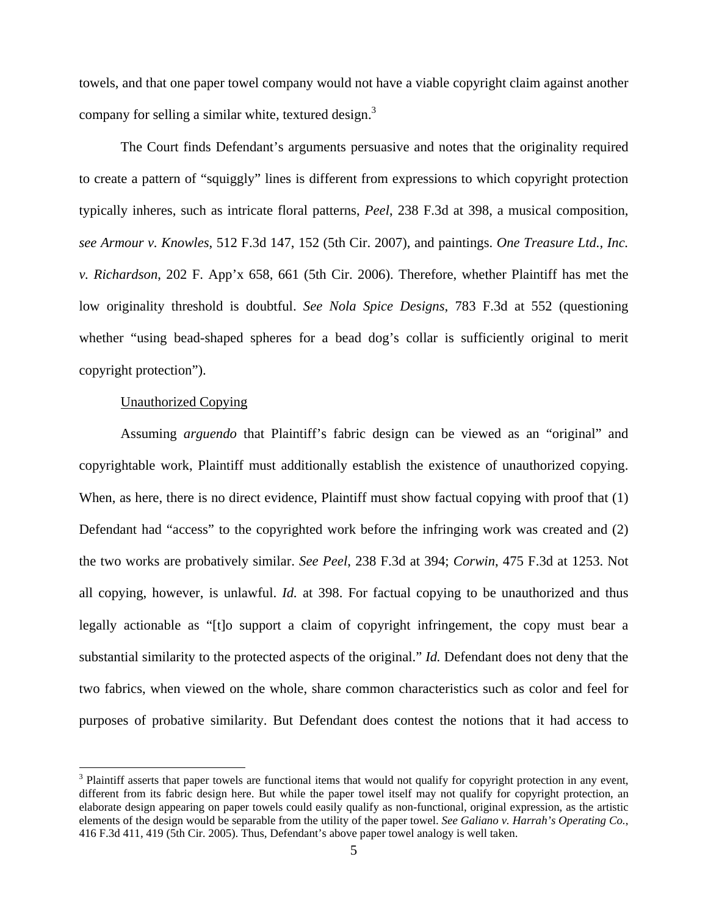towels, and that one paper towel company would not have a viable copyright claim against another company for selling a similar white, textured design. $3$ 

The Court finds Defendant's arguments persuasive and notes that the originality required to create a pattern of "squiggly" lines is different from expressions to which copyright protection typically inheres, such as intricate floral patterns, *Peel*, 238 F.3d at 398, a musical composition, *see Armour v. Knowles*, 512 F.3d 147, 152 (5th Cir. 2007), and paintings. *One Treasure Ltd., Inc. v. Richardson*, 202 F. App'x 658, 661 (5th Cir. 2006). Therefore, whether Plaintiff has met the low originality threshold is doubtful. *See Nola Spice Designs*, 783 F.3d at 552 (questioning whether "using bead-shaped spheres for a bead dog's collar is sufficiently original to merit copyright protection").

## Unauthorized Copying

<u> 1989 - Johann Stein, fransk politik (d. 1989)</u>

Assuming *arguendo* that Plaintiff's fabric design can be viewed as an "original" and copyrightable work, Plaintiff must additionally establish the existence of unauthorized copying. When, as here, there is no direct evidence, Plaintiff must show factual copying with proof that (1) Defendant had "access" to the copyrighted work before the infringing work was created and (2) the two works are probatively similar. *See Peel*, 238 F.3d at 394; *Corwin*, 475 F.3d at 1253. Not all copying, however, is unlawful. *Id.* at 398. For factual copying to be unauthorized and thus legally actionable as "[t]o support a claim of copyright infringement, the copy must bear a substantial similarity to the protected aspects of the original." *Id.* Defendant does not deny that the two fabrics, when viewed on the whole, share common characteristics such as color and feel for purposes of probative similarity. But Defendant does contest the notions that it had access to

<sup>&</sup>lt;sup>3</sup> Plaintiff asserts that paper towels are functional items that would not qualify for copyright protection in any event, different from its fabric design here. But while the paper towel itself may not qualify for copyright protection, an elaborate design appearing on paper towels could easily qualify as non-functional, original expression, as the artistic elements of the design would be separable from the utility of the paper towel. *See Galiano v. Harrah's Operating Co.*, 416 F.3d 411, 419 (5th Cir. 2005). Thus, Defendant's above paper towel analogy is well taken.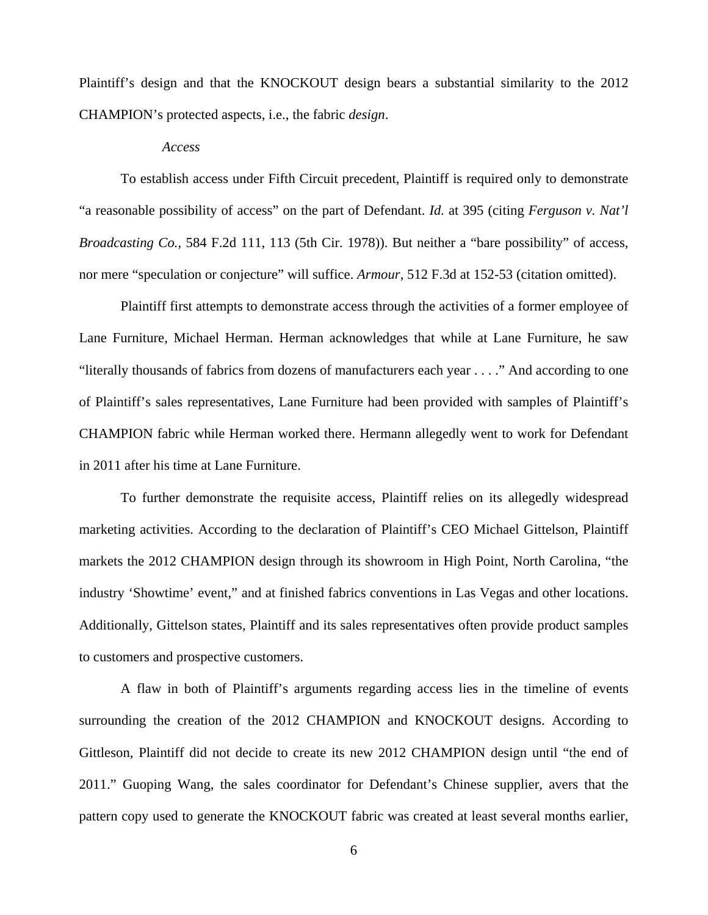Plaintiff's design and that the KNOCKOUT design bears a substantial similarity to the 2012 CHAMPION's protected aspects, i.e., the fabric *design*.

#### *Access*

 To establish access under Fifth Circuit precedent, Plaintiff is required only to demonstrate "a reasonable possibility of access" on the part of Defendant. *Id.* at 395 (citing *Ferguson v. Nat'l Broadcasting Co.*, 584 F.2d 111, 113 (5th Cir. 1978)). But neither a "bare possibility" of access, nor mere "speculation or conjecture" will suffice. *Armour*, 512 F.3d at 152-53 (citation omitted).

 Plaintiff first attempts to demonstrate access through the activities of a former employee of Lane Furniture, Michael Herman. Herman acknowledges that while at Lane Furniture, he saw "literally thousands of fabrics from dozens of manufacturers each year . . . ." And according to one of Plaintiff's sales representatives, Lane Furniture had been provided with samples of Plaintiff's CHAMPION fabric while Herman worked there. Hermann allegedly went to work for Defendant in 2011 after his time at Lane Furniture.

 To further demonstrate the requisite access, Plaintiff relies on its allegedly widespread marketing activities. According to the declaration of Plaintiff's CEO Michael Gittelson, Plaintiff markets the 2012 CHAMPION design through its showroom in High Point, North Carolina, "the industry 'Showtime' event," and at finished fabrics conventions in Las Vegas and other locations. Additionally, Gittelson states, Plaintiff and its sales representatives often provide product samples to customers and prospective customers.

 A flaw in both of Plaintiff's arguments regarding access lies in the timeline of events surrounding the creation of the 2012 CHAMPION and KNOCKOUT designs. According to Gittleson, Plaintiff did not decide to create its new 2012 CHAMPION design until "the end of 2011." Guoping Wang, the sales coordinator for Defendant's Chinese supplier, avers that the pattern copy used to generate the KNOCKOUT fabric was created at least several months earlier,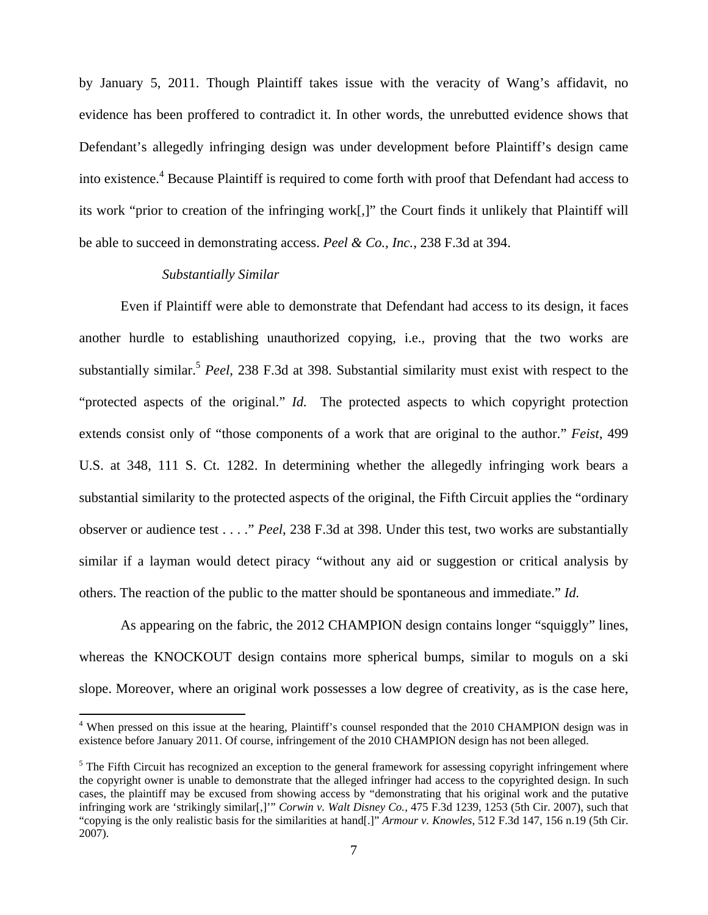by January 5, 2011. Though Plaintiff takes issue with the veracity of Wang's affidavit, no evidence has been proffered to contradict it. In other words, the unrebutted evidence shows that Defendant's allegedly infringing design was under development before Plaintiff's design came into existence.<sup>4</sup> Because Plaintiff is required to come forth with proof that Defendant had access to its work "prior to creation of the infringing work[,]" the Court finds it unlikely that Plaintiff will be able to succeed in demonstrating access. *Peel & Co., Inc.*, 238 F.3d at 394.

### *Substantially Similar*

 Even if Plaintiff were able to demonstrate that Defendant had access to its design, it faces another hurdle to establishing unauthorized copying, i.e., proving that the two works are substantially similar.<sup>5</sup> *Peel*, 238 F.3d at 398. Substantial similarity must exist with respect to the "protected aspects of the original." *Id.* The protected aspects to which copyright protection extends consist only of "those components of a work that are original to the author." *Feist*, 499 U.S. at 348, 111 S. Ct. 1282. In determining whether the allegedly infringing work bears a substantial similarity to the protected aspects of the original, the Fifth Circuit applies the "ordinary observer or audience test . . . ." *Peel*, 238 F.3d at 398. Under this test, two works are substantially similar if a layman would detect piracy "without any aid or suggestion or critical analysis by others. The reaction of the public to the matter should be spontaneous and immediate." *Id.*

As appearing on the fabric, the 2012 CHAMPION design contains longer "squiggly" lines, whereas the KNOCKOUT design contains more spherical bumps, similar to moguls on a ski slope. Moreover, where an original work possesses a low degree of creativity, as is the case here,

<sup>&</sup>lt;sup>4</sup> When pressed on this issue at the hearing, Plaintiff's counsel responded that the 2010 CHAMPION design was in existence before January 2011. Of course, infringement of the 2010 CHAMPION design has not been alleged.

 $<sup>5</sup>$  The Fifth Circuit has recognized an exception to the general framework for assessing copyright infringement where</sup> the copyright owner is unable to demonstrate that the alleged infringer had access to the copyrighted design. In such cases, the plaintiff may be excused from showing access by "demonstrating that his original work and the putative infringing work are 'strikingly similar[,]'" *Corwin v. Walt Disney Co.*, 475 F.3d 1239, 1253 (5th Cir. 2007), such that "copying is the only realistic basis for the similarities at hand[.]" *Armour v. Knowles*, 512 F.3d 147, 156 n.19 (5th Cir. 2007).